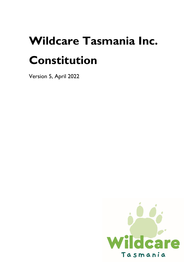# **Wildcare Tasmania Inc. Constitution**

Version 5, April 2022

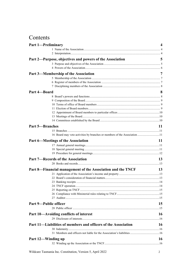## Contents

| <b>Part 1-Preliminary</b>                                                 | 4         |
|---------------------------------------------------------------------------|-----------|
|                                                                           |           |
|                                                                           |           |
| Part 2—Purpose, objectives and powers of the Association                  | 5         |
|                                                                           |           |
|                                                                           |           |
| Part 3—Membership of the Association                                      | 7         |
|                                                                           |           |
|                                                                           |           |
|                                                                           |           |
|                                                                           |           |
| Part 4-Board                                                              | 8         |
|                                                                           |           |
|                                                                           |           |
|                                                                           |           |
|                                                                           |           |
|                                                                           |           |
|                                                                           |           |
|                                                                           |           |
| <b>Part 5-Branches</b>                                                    | 11        |
|                                                                           |           |
| 16 Board may veto activities by branches or members of the Association 11 |           |
| <b>Part 6—Meetings of the Association</b>                                 | 11        |
|                                                                           |           |
|                                                                           |           |
|                                                                           |           |
| <b>Part 7—Records of the Association</b>                                  | 13        |
|                                                                           |           |
|                                                                           |           |
| Part 8—Financial management of the Association and the TNCF               | 13        |
|                                                                           |           |
|                                                                           |           |
|                                                                           |           |
|                                                                           |           |
|                                                                           |           |
|                                                                           |           |
|                                                                           |           |
| <b>Part 9-Public officer</b>                                              | 15        |
|                                                                           |           |
| Part 10—Avoiding conflicts of interest                                    | 16        |
|                                                                           |           |
| Part 11—Liabilities of members and officers of the Association            | <b>16</b> |
|                                                                           |           |
|                                                                           |           |
|                                                                           |           |
| Part 12-Winding up                                                        | 16        |
|                                                                           |           |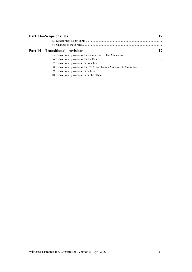| Part 13-Scope of rules                                                 |  |
|------------------------------------------------------------------------|--|
|                                                                        |  |
|                                                                        |  |
| <b>Part 14—Transitional provisions</b>                                 |  |
|                                                                        |  |
|                                                                        |  |
|                                                                        |  |
| 38 Transitional provisions for TNCF and Grants Assessment Committee 18 |  |
|                                                                        |  |
|                                                                        |  |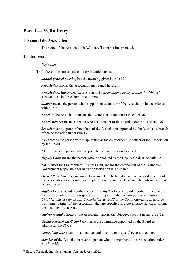## **Part 1—Preliminary**

#### **1 Name of the Association**

The name of the Association is Wildcare Tasmania Incorporated.

#### **2 Interpretation**

#### *Definitions*

(1) In these rules, unless the contrary intention appears:

*annual general meeting* has the meaning given by rule 17.

*Association* means the association mentioned in rule 1.

*Associations Incorporation Act* means the *Associations Incorporation Act 1964* of Tasmania, as in force from time to time.

*auditor* means the person who is appointed as auditor of the Association in accordance with rule 27.

*Board* of the Association means the Board constituted under rule 9 or 36.

*Board member* means a person who is a member of the Board under Part 4 or rule 36.

*branch* means a group of members of the Association approved by the Board as a branch of the Association under rule 15.

*CEO* means the person who is appointed as the chief executive officer of the Association by the Board.

*Chair* means the person who is appointed as the Chair under rule 12.

*Deputy Chair* means the person who is appointed as the Deputy Chair under rule 12.

*EBU* (short for Environment Business Unit) means the component of the Tasmanian Government responsible for nature conservation in Tasmania.

*elected Board member* means a Board member elected at an annual general meeting of the Association or appointed as a replacement for such a Board member whose position became vacant.

*eligible* to be a Board member: a person is *eligible* to be a Board member if the person meets the conditions for a responsible entity (within the meaning of the *Australian Charities and Not-for-profits Commission Act 2012* of the Commonwealth, as in force from time to time) of the Association that are specified in a governance standard (within the meaning of that Act).

*environmental objects* of the Association means the objectives set out in subrule 3(2).

*Grants Assessment Committee* means the committee appointed by the Board to administer the TNCF.

*general meeting* means an annual general meeting or a special general meeting.

*member* of the Association means a person who is a member of the Association under rule 5 or 35.

Wildcare Tasmania Inc. Constitution, Version 5, April 2022 4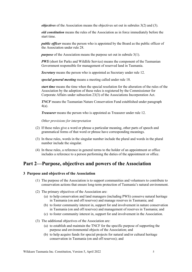*objectives* of the Association means the objectives set out in subrules 3(2) and (3).

*old constitution* means the rules of the Association as in force immediately before the start time.

*public officer* means the person who is appointed by the Board as the public officer of the Association under rule 28.

*purpose* of the Association means the purpose set out in subrule 3(1).

*PWS* (short for Parks and Wildlife Service) means the component of the Tasmanian Government responsible for management of reserved land in Tasmania.

*Secretary* means the person who is appointed as Secretary under rule 12.

*special general meeting* means a meeting called under rule 18.

*start time* means the time when the special resolution for the alteration of the rules of the Association by the adoption of these rules is registered by the Commissioner for Corporate Affairs under subsection 23(3) of the Associations Incorporation Act.

*TNCF* means the Tasmanian Nature Conservation Fund established under paragraph 4(a).

*Treasurer* means the person who is appointed as Treasurer under rule 12.

*Other provisions for interpretation*

- (2) If these rules give a word or phrase a particular meaning, other parts of speech and grammatical forms of that word or phrase have corresponding meanings.
- (3) In these rules, words in the singular number include the plural and words in the plural number include the singular.
- (4) In these rules, a reference in general terms to the holder of an appointment or office includes a reference to a person performing the duties of the appointment or office.

## **Part 2—Purpose, objectives and powers of the Association**

#### **3 Purpose and objectives of the Association**

- (1) The purpose of the Association is to support communities and volunteers to contribute to conservation actions that ensure long-term protection of Tasmania's natural environment.
- (2) The primary objectives of the Association are:
	- (a) to help conservation and land managers (including PWS) conserve natural heritage in Tasmania (on and off reserves) and manage reserves in Tasmania; and
	- (b) to foster community interest in, support for and involvement in nature conservation in Tasmania (on and off reserves) and management of reserves in Tasmania; and
	- (c) to foster community interest in, support for and involvement in the Association.
- (3) The additional objectives of the Association are:
	- (a) to establish and maintain the TNCF for the specific purpose of supporting the purpose and environmental objects of the Association; and
	- (b) to help acquire funds for special projects for natural and/or cultural heritage conservation in Tasmania (on and off reserves); and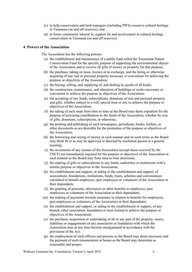- (c) to help conservation and land managers (including PWS) conserve cultural heritage in Tasmania (on and off reserves); and
- (d) to foster community interest in, support for and involvement in cultural heritage conservation in Tasmania (on and off reserves).

#### **4 Powers of the Association**

The Association has the following powers:

- (a) the establishment and maintenance of a public fund called the Tasmanian Nature Conservation Fund for the specific purpose of supporting the environmental objects of the Association and to receive all gifts of money or property for that purpose;
- (b) the purchase, taking on lease, licence or in exchange, and the hiring or otherwise acquiring of any real or personal property necessary or convenient for achieving the purpose or objectives of the Association;
- (c) the buying, selling, and supplying of, and dealing in, goods of all kinds;
- (d) the construction, maintenance, and alteration of buildings or works necessary or convenient to achieve the purpose or objectives of the Association;
- (e) the accepting of any funds, subscriptions, donations of real and personal property and gifts, whether subject to a will, special trust or not, to achieve the purpose or objectives of the Association;
- (f) the taking of such steps from time to time as the Board may deem expedient for the purpose of procuring contributions to the funds of the Association, whether by way of gifts, donations, subscriptions, or otherwise;
- (g) the printing and publishing of such newspapers, periodicals, books, leaflets, or other documents as are desirable for the promotion of the purpose or objectives of the Association;
- (h) the borrowing and raising of money in such manner and on such terms as the Board may think fit or as may be approved or directed by resolution passed at a general meeting;
- (i) the investment of any monies of the Association (except those received by the TNCF) not immediately required for the purpose or objectives of the Association in such manner as the Board may from time to time determine;
- (j) the making of gifts or subscriptions to any funds, authorities or institutions with a similar purpose or objectives to the Association;
- (k) the establishment and support, or aiding in the establishment and support, of associations, foundations, institutions, funds, trusts, schemes and conveniences calculated to benefit employees, past employees or volunteers of the Association or their dependants;
- (l) the granting of pensions, allowances or other benefits to employees, past employees or volunteers of the Association or their dependants;
- (m) the making of payments towards insurance in relation to benefits for employees, past employees or volunteers of the Association or their dependants;
- (n) the establishment and support, or aiding in the establishment or support, of any branch, other association, foundation or trust formed to achieve the purpose or objectives of the Association;
- (o) the purchase, acquisition or undertaking of all or any part of the property, assets, liabilities or engagements of any association or foundation with which the Association may at any time become amalgamated in accordance with the provisions of the Act;
- (p) the employment of such officers and persons as the Board may deem necessary and the payment of such remuneration or bonus as the Board may determine as reasonable and proper;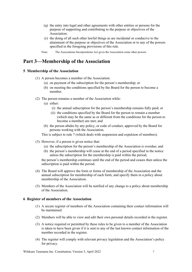- (q) the entry into legal and other agreements with other entities or persons for the purpose of supporting and contributing to the purpose or objectives of the Association;
- (r) the doing of all such other lawful things as are incidental or conducive to the attainment of the purpose or objectives of the Association or to any of the powers specified in the foregoing provisions of this rule.
- Note: The Associations Incorporations Act gives the Association some other powers.

## **Part 3—Membership of the Association**

#### **5 Membership of the Association**

- (1) A person becomes a member of the Association:
	- (a) on payment of the subscription for the person's membership; or
	- (b) on meeting the conditions specified by the Board for the person to become a member.
- (2) The person remains a member of the Association while:
	- (a) either:
		- (i) the annual subscription for the person's membership remains fully paid; or
		- (ii) the conditions specified by the Board for the person to remain a member (which may be the same as or different from the conditions for the person to become a member) are met; and
	- (b) the person abides by any policy, or code of conduct, approved by the Board for persons working with the Association.

This is subject to rule 7 (which deals with suspension and expulsion of members).

- (3) However, if a person is given notice that:
	- (a) the subscription for the person's membership of the Association is overdue; and
	- (b) the person's membership will cease at the end of a period specified in the notice unless the subscription for the membership is paid within the period;

the person's membership continues until the end of the period and ceases then unless the subscription is paid within the period.

- (4) The Board will approve the form or forms of membership of the Association and the annual subscription for membership of each form, and specify them in a policy about membership of the Association.
- (5) Members of the Association will be notified of any change to a policy about membership of the Association.

#### **6 Register of members of the Association**

- (1) A secure register of members of the Association containing their contact information will be maintained.
- (2) Members will be able to view and edit their own personal details recorded in the register.
- (3) A notice required or permitted by these rules to be given to a member of the Association is taken to have been given if it is sent to any of the last known contact information of the member recorded in the register.
- (4) The register will comply with relevant privacy legislation and the Association's policy for privacy.

Wildcare Tasmania Inc. Constitution, Version 5, April 2022 7 7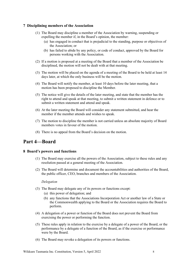#### **7 Disciplining members of the Association**

- (1) The Board may discipline a member of the Association by warning, suspending or expelling the member if, in the Board's opinion, the member:
	- (a) has engaged in conduct that is prejudicial to the standing, purpose or objectives of the Association; or
	- (b) has failed to abide by any policy, or code of conduct, approved by the Board for persons working with the Association.
- (2) If a motion is proposed at a meeting of the Board that a member of the Association be disciplined, the motion will not be dealt with at that meeting.
- (3) The motion will be placed on the agenda of a meeting of the Board to be held at least 14 days later, at which the only business will be the motion.
- (4) The Board will notify the member, at least 10 days before the later meeting, that a motion has been proposed to discipline the Member.
- (5) The notice will give the details of the later meeting, and state that the member has the right to attend and speak at that meeting, to submit a written statement in defence or to submit a written statement and attend and speak.
- (6) At the later meeting the Board will consider any statement submitted, and hear the member if the member attends and wishes to speak.
- (7) The motion to discipline the member is not carried unless an absolute majority of Board members votes in favour of the motion.
- (8) There is no appeal from the Board's decision on the motion.

## **Part 4—Board**

#### **8 Board's powers and functions**

- (1) The Board may exercise all the powers of the Association, subject to these rules and any resolution passed at a general meeting of the Association.
- (2) The Board will determine and document the accountabilities and authorities of the Board, the public officer, CEO, branches and members of the Association.

#### *Delegation*

- (3) The Board may delegate any of its powers or functions except:
	- (a) this power of delegation; and
	- (b) any functions that the Associations Incorporation Act or another law of a State or the Commonwealth applying to the Board or the Association requires the Board to perform.
- (4) A delegation of a power or function of the Board does not prevent the Board from exercising the power or performing the function.
- (5) These rules apply in relation to the exercise by a delegate of a power of the Board, or the performance by a delegate of a function of the Board, as if the exercise or performance were by the Board.
- (6) The Board may revoke a delegation of its powers or functions.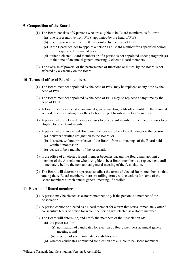#### **9 Composition of the Board**

- (1) The Board consists of 9 persons who are eligible to be Board members, as follows:
	- (a) one representative from PWS, appointed by the head of PWS;
	- (b) one representative from EBU, appointed by the head of EBU;
	- (c) if the Board decides to appoint a person as a Board member for a specified period to fill a specified role—that person;
	- (d) either 6 elected Board members or, if a person is not appointed under paragraph (c) at the time of an annual general meeting, 7 elected Board members.
- (2) The exercise of powers, or the performance of functions or duties, by the Board is not affected by a vacancy on the Board.

#### **10 Terms of office of Board members**

- (1) The Board member appointed by the head of PWS may be replaced at any time by the head of PWS.
- (2) The Board member appointed by the head of EBU may be replaced at any time by the head of EBU.
- (3) A Board member elected at an annual general meeting holds office until the third annual general meeting starting after the election, subject to subrules (4), (5) and (7).
- (4) A person who is a Board member ceases to be a Board member if the person ceases to be eligible to be a Board member.
- (5) A person who is an elected Board member ceases to be a Board member if the person:
	- (a) delivers a written resignation to the Board; or
	- (b) is absent, without prior leave of the Board, from all meetings of the Board held within 6 months; or
	- (c) ceases to be a member of the Association.
- (6) If the office of an elected Board member becomes vacant, the Board may appoint a member of the Association who is eligible to be a Board member as a replacement until immediately before the next annual general meeting of the Association.
- (7) The Board will determine a process to adjust the terms of elected Board members so that, among those Board members, there are rolling terms, with elections for some of the Board members at each annual general meeting, if possible.

#### **11 Election of Board members**

- (1) A person may be elected as a Board member only if the person is a member of the Association.
- (2) A person cannot be elected as a Board member for a term that starts immediately after 3 consecutive terms of office for which the person was elected as a Board member.
- (3) The Board will determine, and notify the members of the Association of:
	- (a) the processes for:
		- (i) nomination of candidates for election as Board members at annual general meetings; and
		- (ii) election of such nominated candidates; and
	- (b) whether candidates nominated for election are eligible to be Board members.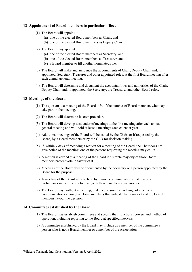#### **12 Appointment of Board members to particular offices**

- (1) The Board will appoint:
	- (a) one of the elected Board members as Chair; and
	- (b) one of the elected Board members as Deputy Chair.
- (2) The Board may appoint:
	- (a) one of the elected Board members as Secretary; and
	- (b) one of the elected Board members as Treasurer; and
	- (c) a Board member to fill another nominated role.
- (3) The Board will make and announce the appointments of Chair, Deputy Chair and, if appointed, Secretary, Treasurer and other appointed roles, at the first Board meeting after each annual general meeting.
- (4) The Board will determine and document the accountabilities and authorities of the Chair, Deputy Chair and, if appointed, the Secretary, the Treasurer and other Board roles.

#### **13 Meetings of the Board**

- (1) The quorum at a meeting of the Board is ⅔ of the number of Board members who may take part in the meeting.
- (2) The Board will determine its own procedure.
- (3) The Board will develop a calendar of meetings at the first meeting after each annual general meeting and will hold at least 4 meetings each calendar year.
- (4) Additional meetings of the Board will be called by the Chair, or if requested by the Board, by 3 Board members or by the CEO for decision making.
- (5) If, within 7 days of receiving a request for a meeting of the Board, the Chair does not give notice of the meeting, one of the persons requesting the meeting may call it.
- (6) A motion is carried at a meeting of the Board if a simple majority of those Board members present vote in favour of it.
- (7) Meetings of the Board will be documented by the Secretary or a person appointed by the Board for the purpose.
- (8) A meeting of the Board may be held by remote communications that enable all participants in the meeting to hear (or both see and hear) one another.
- (9) The Board may, without a meeting, make a decision by exchange of electronic communications among the Board members that indicate that a majority of the Board members favour the decision.

#### **14 Committees established by the Board**

- (1) The Board may establish committees and specify their functions, powers and method of operation, including reporting to the Board at specified intervals.
- (2) A committee established by the Board may include as a member of the committee a person who is not a Board member or a member of the Association.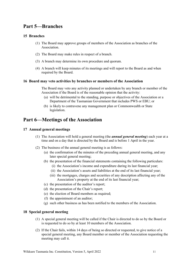## **Part 5—Branches**

#### **15 Branches**

- (1) The Board may approve groups of members of the Association as branches of the Association.
- (2) The Board may make rules in respect of a branch.
- (3) A branch may determine its own procedure and quorum.
- (4) A branch will keep minutes of its meetings and will report to the Board as and when required by the Board.

#### **16 Board may veto activities by branches or members of the Association**

The Board may veto any activity planned or undertaken by any branch or member of the Association if the Board is of the reasonable opinion that the activity:

- (a) will be detrimental to the standing, purpose or objectives of the Association or a Department of the Tasmanian Government that includes PWS or EBU; or
- (b) is likely to contravene any management plan or Commonwealth or State legislation.

## **Part 6—Meetings of the Association**

#### **17 Annual general meetings**

- (1) The Association will hold a general meeting (the *annual general meeting*) each year at a time and on a day that is directed by the Board and is before 1 April in the year.
- (2) The business of the annual general meeting is as follows:
	- (a) the confirmation of the minutes of the preceding annual general meeting, and any later special general meeting;
	- (b) the presentation of the financial statements containing the following particulars:
		- (i) the Association's income and expenditure during its last financial year;
		- (ii) the Association's assets and liabilities at the end of its last financial year;
		- (iii) the mortgages, charges and securities of any description affecting any of the Association's property at the end of its last financial year;
	- (c) the presentation of the auditor's report;
	- (d) the presentation of the Chair's report;
	- (e) the election of Board members as required;
	- (f) the appointment of an auditor;
	- (g) such other business as has been notified to the members of the Association.

#### **18 Special general meeting**

- (1) A special general meeting will be called if the Chair is directed to do so by the Board or is requested to do so by at least 10 members of the Association.
- (2) If the Chair fails, within 14 days of being so directed or requested, to give notice of a special general meeting, any Board member or member of the Association requesting the meeting may call it.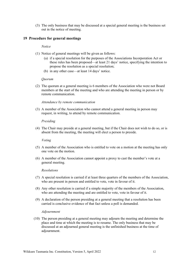(3) The only business that may be discussed at a special general meeting is the business set out in the notice of meeting.

#### **19 Procedure for general meetings**

#### *Notice*

- (1) Notice of general meetings will be given as follows:
	- (a) if a special resolution for the purposes of the Associations Incorporation Act or these rules has been proposed—at least 21 days' notice, specifying the intention to propose the resolution as a special resolution;
	- (b) in any other case—at least 14 days' notice.

#### *Quorum*

(2) The quorum at a general meeting is 6 members of the Association who were not Board members at the start of the meeting and who are attending the meeting in person or by remote communication.

#### *Attendance by remote communication*

(3) A member of the Association who cannot attend a general meeting in person may request, in writing, to attend by remote communication.

#### *Presiding*

(4) The Chair may preside at a general meeting, but if the Chair does not wish to do so, or is absent from the meeting, the meeting will elect a person to preside.

#### *Voting*

- (5) A member of the Association who is entitled to vote on a motion at the meeting has only one vote on the motion.
- (6) A member of the Association cannot appoint a proxy to cast the member's vote at a general meeting.

#### *Resolutions*

- (7) A special resolution is carried if at least three quarters of the members of the Association, who are present in person and entitled to vote, vote in favour of it.
- (8) Any other resolution is carried if a simple majority of the members of the Association, who are attending the meeting and are entitled to vote, vote in favour of it.
- (9) A declaration of the person presiding at a general meeting that a resolution has been carried is conclusive evidence of that fact unless a poll is demanded.

#### *Adjournment*

(10) The person presiding at a general meeting may adjourn the meeting and determine the place and time at which the meeting is to resume. The only business that may be discussed at an adjourned general meeting is the unfinished business at the time of adjournment.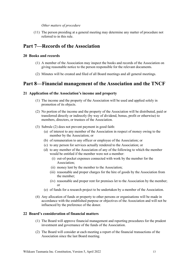#### *Other matters of procedure*

(11) The person presiding at a general meeting may determine any matter of procedure not referred to in this rule.

## **Part 7—Records of the Association**

#### **20 Books and records**

- (1) A member of the Association may inspect the books and records of the Association on giving reasonable notice to the person responsible for the relevant documents.
- (2) Minutes will be created and filed of all Board meetings and all general meetings.

## **Part 8—Financial management of the Association and the TNCF**

#### **21 Application of the Association's income and property**

- (1) The income and the property of the Association will be used and applied solely in promotion of its objects.
- (2) No portion of the income and the property of the Association will be distributed, paid or transferred directly or indirectly (by way of dividend, bonus, profit or otherwise) to members, directors, or trustees of the Association.
- (3) Subrule (2) does not prevent payment in good faith:
	- (a) of interest to any member of the Association in respect of money owing to the member by the Association; or
	- (b) of remuneration to any officer or employee of the Association; or
	- (c) to any person for services actually rendered to the Association; or
	- (d) to any member of the Association of any of the following to which the member would be entitled if the member were not a member:
		- (i) out-of-pocket expenses connected with work by the member for the Association;
		- (ii) money lent by the member to the Association;
		- (iii) reasonable and proper charges for the hire of goods by the Association from the member;
		- (iv) reasonable and proper rent for premises let to the Association by the member; or
	- (e) of funds for a research project to be undertaken by a member of the Association.
- (4) Any allocation of funds or property to other persons or organisations will be made in accordance with the established purpose or objectives of the Association and will not be influenced by the preference of the donor.

#### **22 Board's consideration of financial matters**

- (1) The Board will approve financial management and reporting procedures for the prudent investment and governance of the funds of the Association.
- (2) The Board will consider at each meeting a report of the financial transactions of the Association since the last Board meeting.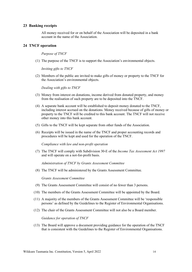#### **23 Banking receipts**

All money received for or on behalf of the Association will be deposited in a bank account in the name of the Association.

#### **24 TNCF operation**

*Purpose of TNCF*

(1) The purpose of the TNCF is to support the Association's environmental objects.

*Inviting gifts to TNCF*

(2) Members of the public are invited to make gifts of money or property to the TNCF for the Association's environmental objects.

*Dealing with gifts to TNCF*

- (3) Money from interest on donations, income derived from donated property, and money from the realisation of such property are to be deposited into the TNCF.
- (4) A separate bank account will be established to deposit money donated to the TNCF, including interest accrued on the donations. Money received because of gifts of money or property to the TNCF will be credited to this bank account. The TNCF will not receive other money into this bank account.
- (5) Gifts to the TNCF will be kept separate from other funds of the Association.
- (6) Receipts will be issued in the name of the TNCF and proper accounting records and procedures will be kept and used for the operation of the TNCF.

*Compliance with law and non-profit operation*

(7) The TNCF will comply with Subdivision 30-E of the *Income Tax Assessment Act 1997* and will operate on a not-for-profit basis.

*Administration of TNCF by Grants Assessment Committee*

(8) The TNCF will be administered by the Grants Assessment Committee.

*Grants Assessment Committee*

- (9) The Grants Assessment Committee will consist of no fewer than 3 persons.
- (10) The members of the Grants Assessment Committee will be appointed by the Board.
- (11) A majority of the members of the Grants Assessment Committee will be 'responsible persons' as defined by the Guidelines to the Register of Environmental Organisations.
- (12) The chair of the Grants Assessment Committee will not also be a Board member.

*Guidance for operation of TNCF*

(13) The Board will approve a document providing guidance for the operation of the TNCF that is consistent with the Guidelines to the Register of Environmental Organisations.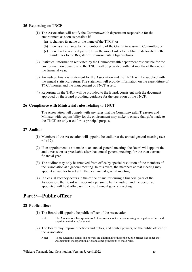#### **25 Reporting on TNCF**

- (1) The Association will notify the Commonwealth department responsible for the environment as soon as possible if:
	- (a) it changes its name or the name of the TNCF; or
	- (b) there is any change to the membership of the Grants Assessment Committee; or
	- (c) there has been any departure from the model rules for public funds located in the Guidelines to the Register of Environmental Organisations.
- (2) Statistical information requested by the Commonwealth department responsible for the environment on donations to the TNCF will be provided within 4 months of the end of the financial year.
- (3) An audited financial statement for the Association and the TNCF will be supplied with the annual statistical return. The statement will provide information on the expenditure of TNCF monies and the management of TNCF assets.
- (4) Reporting on the TNCF will be provided to the Board, consistent with the document approved by the Board providing guidance for the operation of the TNCF.

#### **26 Compliance with Ministerial rules relating to TNCF**

The Association will comply with any rules that the Commonwealth Treasurer and Minister with responsibility for the environment may make to ensure that gifts made to the TNCF are only used for its principal purpose.

#### **27 Auditor**

- (1) Members of the Association will appoint the auditor at the annual general meeting (see rule 17).
- (2) If an appointment is not made at an annual general meeting, the Board will appoint the auditor as soon as practicable after that annual general meeting, for the then current financial year.
- (3) The auditor may only be removed from office by special resolution of the members of the Association at a general meeting. In this event, the members at that meeting may appoint an auditor to act until the next annual general meeting.
- (4) If a casual vacancy occurs in the office of auditor during a financial year of the Association, the Board will appoint a person to be the auditor and the person so appointed will hold office until the next annual general meeting.

### **Part 9—Public officer**

#### **28 Public officer**

- (1) The Board will appoint the public officer of the Association.
	- Note: The Associations Incorporations Act has rules about a person ceasing to be public officer and appointment of a replacement.
- (2) The Board may impose functions and duties, and confer powers, on the public officer of the Association.
	- Note: These functions, duties and powers are additional to those the public officer has under the Associations Incorporations Act and other provisions of these rules.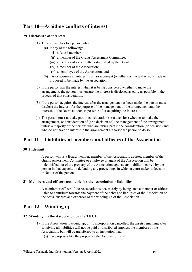## **Part 10—Avoiding conflicts of interest**

#### **29 Disclosure of interests**

- (1) This rule applies to a person who:
	- (a) is any of the following:
		- (i) a Board member;
		- (ii) a member of the Grants Assessment Committee;
		- (iii) a member of a committee established by the Board;
		- (iv) a member of the Association;
		- (v) an employee of the Association; and
	- (b) has or acquires an interest in an arrangement (whether contractual or not) made or proposed to be made by the Association.
- (2) If the person has the interest when it is being considered whether to make the arrangement, the person must ensure the interest is disclosed as early as possible in the process of that consideration.
- (3) If the person acquires the interest after the arrangement has been made, the person must disclose the interest, for the purpose of the management of the arrangement and the interest, to the Board as soon as possible after acquiring the interest.
- (4) The person must not take part in consideration (or a decision) whether to make the arrangement, or consideration of (or a decision on) the management of the arrangement, unless a majority of the persons who are taking part in the consideration (or decision) and who do not have an interest in the arrangement authorise the person to do so.

## **Part 11—Liabilities of members and officers of the Association**

#### **30 Indemnity**

A person who is a Board member, member of the Association, auditor, member of the Grants Assessment Committee or employee or agent of the Association will be indemnified out of the property of the Association against any liability incurred by the person in that capacity in defending any proceedings in which a court makes a decision in favour of the person.

#### **31 Members and officers not liable for the Association's liabilities**

A member or officer of the Association is not, merely by being such a member or officer, liable to contribute towards the payment of the debts and liabilities of the Association or the costs, charges and expenses of the winding-up of the Association.

## **Part 12—Winding up**

#### **32 Winding up the Association or the TNCF**

- (1) If the Association is wound up, or its incorporation cancelled, the assets remaining after satisfying all liabilities will not be paid or distributed amongst the members of the Association, but will be transferred to an institution that:
	- (a) has purposes like the purpose of the Association; and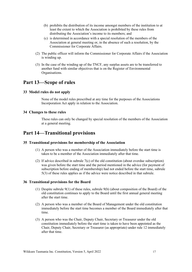- (b) prohibits the distribution of its income amongst members of the institution to at least the extent to which the Association is prohibited by these rules from distributing the Association's income to its members; and
- (c) is determined in accordance with a special resolution of the members of the Association at general meeting or, in the absence of such a resolution, by the Commissioner for Corporate Affairs.
- (2) The public officer will inform the Commissioner for Corporate Affairs if the Association is winding up.
- (3) In the case of the winding up of the TNCF, any surplus assets are to be transferred to another fund with similar objectives that is on the Register of Environmental Organisations.

## **Part 13—Scope of rules**

#### **33 Model rules do not apply**

None of the model rules prescribed at any time for the purposes of the Associations Incorporation Act apply in relation to the Association.

#### **34 Changes to these rules**

These rules can only be changed by special resolution of the members of the Association at a general meeting.

## **Part 14—Transitional provisions**

#### **35 Transitional provisions for membership of the Association**

- (1) A person who was a member of the Association immediately before the start time is taken to be a member of the Association immediately after that time.
- (2) If advice described in subrule 7(c) of the old constitution (about overdue subscription) was given before the start time and the period mentioned in the advice (for payment of subscription before ending of membership) had not ended before the start time, subrule 5(3) of these rules applies as if the advice were notice described in that subrule.

#### **36 Transitional provisions for the Board**

- (1) Despite subrule 9(1) of these rules, subrule 9(b) (about composition of the Board) of the old constitution continues to apply to the Board until the first annual general meeting after the start time.
- (2) A person who was a member of the Board of Management under the old constitution immediately before the start time becomes a member of the Board immediately after that time.
- (3) A person who was the Chair, Deputy Chair, Secretary or Treasurer under the old constitution immediately before the start time is taken to have been appointed as the Chair, Deputy Chair, Secretary or Treasurer (as appropriate) under rule 12 immediately after that time.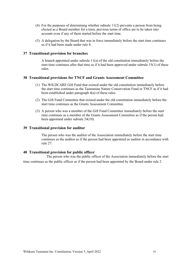- (4) For the purposes of determining whether subrule 11(2) prevents a person from being elected as a Board member for a term, previous terms of office are to be taken into account even if any of them started before the start time.
- (5) A delegation by the Board that was in force immediately before the start time continues as if it had been made under rule 8.

#### **37 Transitional provision for branches**

A branch appointed under subrule 11(a) of the old constitution immediately before the start time continues after that time as if it had been approved under subrule 15(1) of these rules.

#### **38 Transitional provisions for TNCF and Grants Assessment Committee**

- (1) The WILDCARE Gift Fund that existed under the old constitution immediately before the start time continues as the Tasmanian Nature Conservation Fund or TNCF as if it had been established under paragraph 4(a) of these rules.
- (2) The Gift Fund Committee that existed under the old constitution immediately before the start time continues as the Grants Assessment Committee.
- (3) A person who was a member of the Gift Fund Committee immediately before the start time continues as a member of the Grants Assessment Committee as if the person had been appointed under subrule 24(10).

#### **39 Transitional provision for auditor**

The person who was the auditor of the Association immediately before the start time continues as the auditor as if the person had been appointed as auditor in accordance with rule 27.

#### **40 Transitional provision for public officer**

The person who was the public officer of the Association immediately before the start time continues as the public officer as if the person had been appointed by the Board under rule 2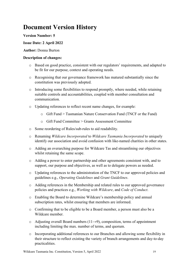## **Document Version History**

#### **Version Number: 5**

#### **Issue Date: 2 April 2022**

#### **Author:** Donna Burton

#### **Description of changes:**

- o Based on good practice, consistent with our regulators' requirements, and adapted to be fit for our purpose, context and operating needs.
- o Recognising that our governance framework has matured substantially since the constitution was previously adopted.
- o Introducing some flexibilities to respond promptly, where needed, while retaining suitable controls and accountabilities, coupled with member consultation and communication.
- o Updating references to reflect recent name changes, for example:
	- o Gift Fund > Tasmanian Nature Conservation Fund (TNCF or the Fund)
	- o Gift Fund Committee > Grants Assessment Committee
- o Some reordering of Rules/sub-rules to aid readability.
- o Renaming *Wildcare Incorporated* to *Wildcare Tasmania Incorporated* to uniquely identify our association and avoid confusion with like-named charities in other states.
- o Adding an overarching purpose for Wildcare Tas and streamlining our objectives whilst retaining the same scope.
- o Adding a power to enter partnership and other agreements consistent with, and to support, our purpose and objectives, as well as to delegate powers as needed.
- o Updating references to the administration of the TNCF to our approved policies and guidelines e.g., *Operating Guidelines* and *Grant Guidelines*.
- o Adding references in the Membership and related rules to our approved governance policies and practices e.g., *Working with Wildcare*, and *Code of Conduct*.
- o Enabling the Board to determine Wildcare's membership policy and annual subscription rates, whilst ensuring that members are informed.
- o Confirming that to be eligible to be a Board member, a person must also be a Wildcare member.
- o Adjusting overall Board numbers (11→9), composition, terms of appointment including limiting the max. number of terms, and quorum.
- o Incorporating additional references to our Branches and allowing some flexibility in their structure to reflect existing the variety of branch arrangements and day-to-day practicalities.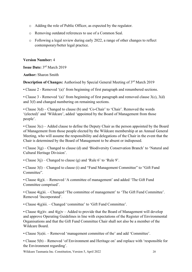- o Adding the role of Public Officer, as expected by the regulator.
- o Removing outdated references to use of a Common Seal.
- o Following a legal review during early 2022, a range of other changes to reflect contemporary/better legal practice.

#### **Version Number:** 4

**Issue Date:** 3rd March 2019

**Author:** Sharon Smith

**Description of Changes:** Authorised by Special General Meeting of 3<sup>rd</sup> March 2019

• Clause 2 - Removed '(a)' from beginning of first paragraph and renumbered sections.

• Clause 3 - Removed '(a)' from beginning of first paragraph and removed clause 3(c), 3(d) and 3(f) and changed numbering on remaining sections.

• Clause 3(d) – Changed to clause (b) and 'Co-Chair' to 'Chair'. Removed the words '(elected)' and 'Wildcare', added 'appointed by the Board of Management from those people'.

• Clause 3(c) – Added clause to define the Deputy Chair as the person appointed by the Board of Management from those people elected by the Wildcare membership at an Annual General Meeting, who will assume the responsibility and delegations of the Chair in the event that the Chair is determined by the Board of Management to be absent or indisposed.

• Clause 3(g) – Changed to clause (d) and 'Biodiversity Conservation Branch' to 'Natural and Cultural Heritage Division'.

• Clause  $3(j)$  – Changed to clause (g) and 'Rule 6' to 'Rule 9'.

• Clause 3(l) – Changed to clause (i) and "Fund Management Committee" to "Gift Fund Committee".

• Clause 4(g)i. – Removed 'A committee of management' and added 'The Gift Fund Committee comprised'.

• Clause 4(g)ii. – Changed 'The committee of management' to 'The Gift Fund Committee'. Removed 'Incorporated'.

• Clause 4(g)iii. – Changed 'committee' to 'Gift Fund Committee'.

• Clause  $4(g)$ iv. and  $4(g)v -$  Added to provide that the Board of Management will develop and approve Operating Guidelines in line with expectations of the Register of Environmental Organisations and that the Gift Fund Committee Chair shall not also be a member of the Wildcare Board.

• Clause 5(a)ii. – Removed 'management committee of the' and add 'Committee'.

• Clause 5(b) – Removed 'of Environment and Heritage on' and replace with 'responsible for the Environment regarding'.

Wildcare Tasmania Inc. Constitution, Version 5, April 2022 20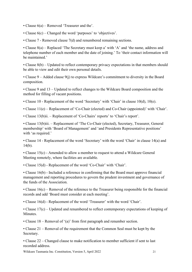• Clause 6(a) – Removed 'Treasurer and the'.

• Clause 6(c) – Changed the word 'purposes' to 'objectives'.

• Clause 7 - Removed clause 7(d) and renumbered remaining sections.

• Clause 8(a) – Replaced 'The Secretary must keep a' with 'A' and 'the name, address and telephone number of each member and the date of joining.' To 'their contact information will be maintained.'

• Clause 8(b) – Updated to reflect contemporary privacy expectations in that members should be able to view and edit their own personal details.

• Clause  $9 -$  Added clause  $9(i)$  to express Wildcare's commitment to diversity in the Board composition.

• Clause 9 and 13 – Updated to reflect changes to the Wildcare Board composition and the method for filling of vacant positions.

• Clause 10 - Replacement of the word 'Secretary' with 'Chair' in clause 10(d), 10(e).

• Clause 11(e) – Replacement of 'Co-Chair (elected) and Co-Chair (appointed)' with 'Chair'.

• Clause 13(b)ii. – Replacement of 'Co-Chairs' reports' to 'Chair's report'.

• Clause 13(b)iii. – Replacement of 'The Co-Chair (elected), Secretary, Treasurer, General membership' with 'Board of Management' and 'and Presidents Representative positions' with 'as required.'

• Clause 14 - Replacement of the word 'Secretary' with the word 'Chair' in clause 14(a) and 14(b).

• Clause 15(c) - Amended to allow a member to request to attend a Wildcare General Meeting remotely, where facilities are available.

• Clause 15(d) - Replacement of the word 'Co-Chair' with 'Chair'.

• Clause 16(b) - Included a reference in confirming that the Board must approve financial management and reporting procedures to govern the prudent investment and governance of the funds of the Association.

• Clause 16(c) – Removal of the reference to the Treasurer being responsible for the financial records and add 'Board must consider at each meeting'.

• Clause 16(d) - Replacement of the word 'Treasurer' with the word 'Chair'.

• Clause 17(c) – Updated and renumbered to reflect contemporary expectations of keeping of Minutes.

• Clause 18 – Removal of '(a)' from first paragraph and renumber section.

• Clause 21 – Removal of the requirement that the Common Seal must be kept by the Secretary.

• Clause 22 – Changed clause to make notification to member sufficient if sent to last recorded address.

Wildcare Tasmania Inc. Constitution, Version 5, April 2022 21 21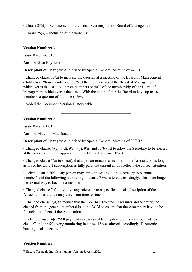- Clause 23(d) Replacement of the word 'Secretary' with 'Board of Management'.
- Clause 25(a) Inclusion of the word 'is'.

**Version Number:** 3

**Issue Date:** 24/5/18

**Author:** Glen Hayhurst

**Description of Changes:** Authorised by Special General Meeting of 24/3/18

• Changed clause 10(a) to increase the quorum at a meeting of the Board of Management (BoM) from "four members or 50% of the membership of the Board of Management, whichever is the least" to "seven members or 50% of the membership of the Board of Management, whichever is the least". With the potential for the Board to have up to 16 members, a quorum of four is too few.

• Added the Document Version History table

**Version Number:** 2

**Issue Date:** 9/12/15

**Author:** Malcolm MacDonald

**Description of Changes:** Authorised by Special General Meeting of 28/3/15

• Changed clauses 9(c), 9(d), 9(i), 9(j), 9(n) and 13(b)(iii) to allow the Secretary to be elected at the AGM rather than appointed by the General Manager PWS.

• Changed clause 7(a) to specify that a person remains a member of the Association as long as his or her annual subscription is fully paid and current as this reflects the correct situation.

• Deleted clause 7(b) "Any person may apply in writing to the Secretary to become a member" and the following numbering in clause 7 was altered accordingly. This is no longer the normal way to become a member.

• Changed clause 7(f) to remove any reference to a specific annual subscription of the Association as the fee may vary from time to time.

• Changed clause 9(d) to require that the Co-Chair (elected), Treasurer and Secretary be elected from the general membership at the AGM to ensure that these members have to be financial members of the Association.

• Deleted clause 16(c) "All payments in excess of twenty-five dollars must be made by cheque" and the following numbering in clause 16 was altered accordingly. Electronic banking is also permissible.

#### **Version Number:** 1

Wildcare Tasmania Inc. Constitution, Version 5, April 2022 22